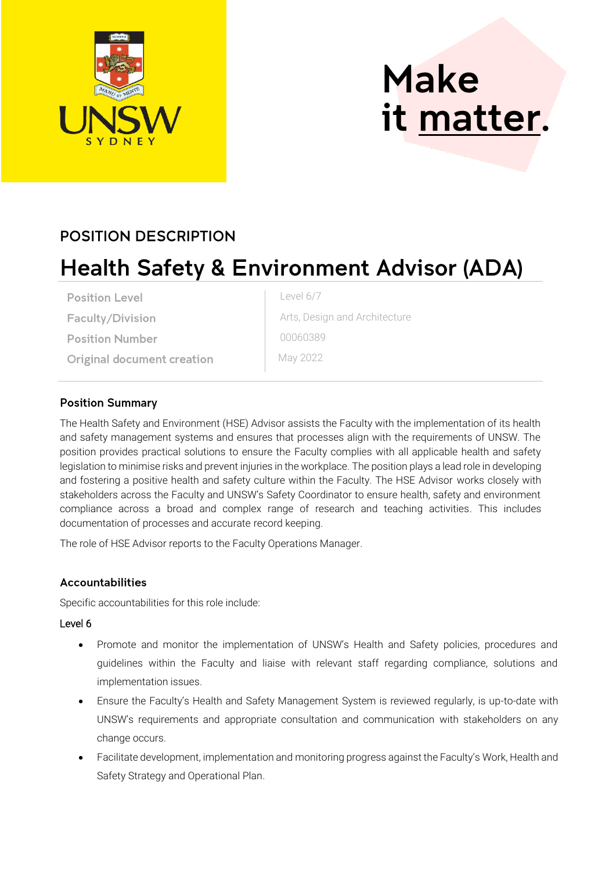

# **Make** it matter.

### **POSITION DESCRIPTION**

## **Health Safety & Environment Advisor (ADA)**

**Position Level** 

Faculty/Division

**Position Number** 

**Original document creation** 

Level 6/7

Arts, Design and Architecture 00060389

May 2022

#### **Position Summary**

The Health Safety and Environment (HSE) Advisor assists the Faculty with the implementation of its health and safety management systems and ensures that processes align with the requirements of UNSW. The position provides practical solutions to ensure the Faculty complies with all applicable health and safety legislation to minimise risks and prevent injuries in the workplace. The position plays a lead role in developing and fostering a positive health and safety culture within the Faculty. The HSE Advisor works closely with stakeholders across the Faculty and UNSW's Safety Coordinator to ensure health, safety and environment compliance across a broad and complex range of research and teaching activities. This includes documentation of processes and accurate record keeping.

The role of HSE Advisor reports to the Faculty Operations Manager.

#### **Accountabilities**

Specific accountabilities for this role include:

#### Level 6

- Promote and monitor the implementation of UNSW's Health and Safety policies, procedures and guidelines within the Faculty and liaise with relevant staff regarding compliance, solutions and implementation issues.
- Ensure the Faculty's Health and Safety Management System is reviewed regularly, is up-to-date with UNSW's requirements and appropriate consultation and communication with stakeholders on any change occurs.
- Facilitate development, implementation and monitoring progress against the Faculty's Work, Health and Safety Strategy and Operational Plan.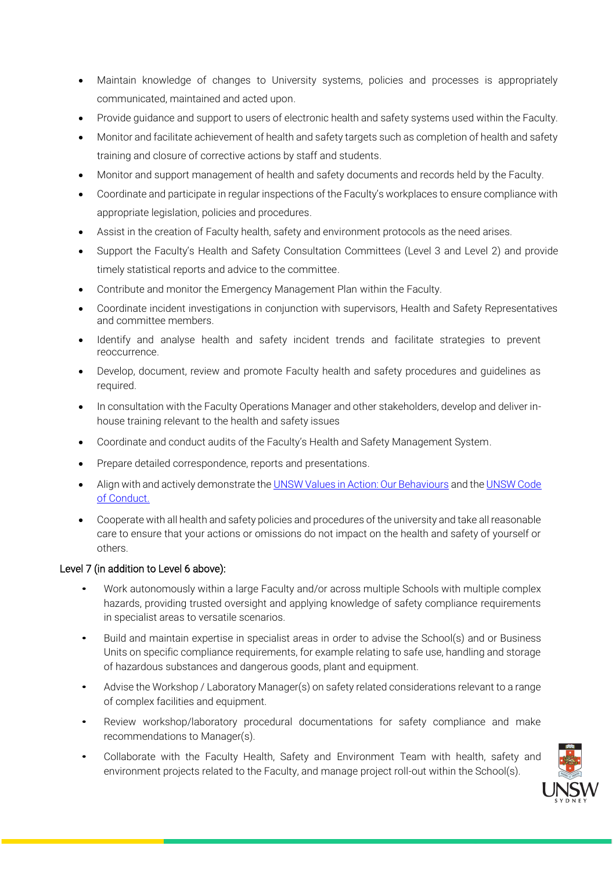- Maintain knowledge of changes to University systems, policies and processes is appropriately communicated, maintained and acted upon.
- Provide guidance and support to users of electronic health and safety systems used within the Faculty.
- Monitor and facilitate achievement of health and safety targets such as completion of health and safety training and closure of corrective actions by staff and students.
- Monitor and support management of health and safety documents and records held by the Faculty.
- Coordinate and participate in regular inspections of the Faculty's workplaces to ensure compliance with appropriate legislation, policies and procedures.
- Assist in the creation of Faculty health, safety and environment protocols as the need arises.
- Support the Faculty's Health and Safety Consultation Committees (Level 3 and Level 2) and provide timely statistical reports and advice to the committee.
- Contribute and monitor the Emergency Management Plan within the Faculty.
- Coordinate incident investigations in conjunction with supervisors, Health and Safety Representatives and committee members.
- Identify and analyse health and safety incident trends and facilitate strategies to prevent reoccurrence.
- Develop, document, review and promote Faculty health and safety procedures and guidelines as required.
- In consultation with the Faculty Operations Manager and other stakeholders, develop and deliver inhouse training relevant to the health and safety issues
- Coordinate and conduct audits of the Faculty's Health and Safety Management System.
- Prepare detailed correspondence, reports and presentations.
- Align with and actively demonstrate the UNSW [Values in Action: Our Behaviours](https://unsw.sharepoint.com/sites/values-in-action) and th[e UNSW Code](https://www.gs.unsw.edu.au/policy/documents/codeofconduct.pdf)  [of Conduct.](https://www.gs.unsw.edu.au/policy/documents/codeofconduct.pdf)
- Cooperate with all health and safety policies and procedures of the university and take all reasonable care to ensure that your actions or omissions do not impact on the health and safety of yourself or others.

#### Level 7 (in addition to Level 6 above):

- Work autonomously within a large Faculty and/or across multiple Schools with multiple complex hazards, providing trusted oversight and applying knowledge of safety compliance requirements in specialist areas to versatile scenarios.
- Build and maintain expertise in specialist areas in order to advise the School(s) and or Business Units on specific compliance requirements, for example relating to safe use, handling and storage of hazardous substances and dangerous goods, plant and equipment.
- Advise the Workshop / Laboratory Manager(s) on safety related considerations relevant to a range of complex facilities and equipment.
- Review workshop/laboratory procedural documentations for safety compliance and make recommendations to Manager(s).
- Collaborate with the Faculty Health, Safety and Environment Team with health, safety and environment projects related to the Faculty, and manage project roll-out within the School(s).

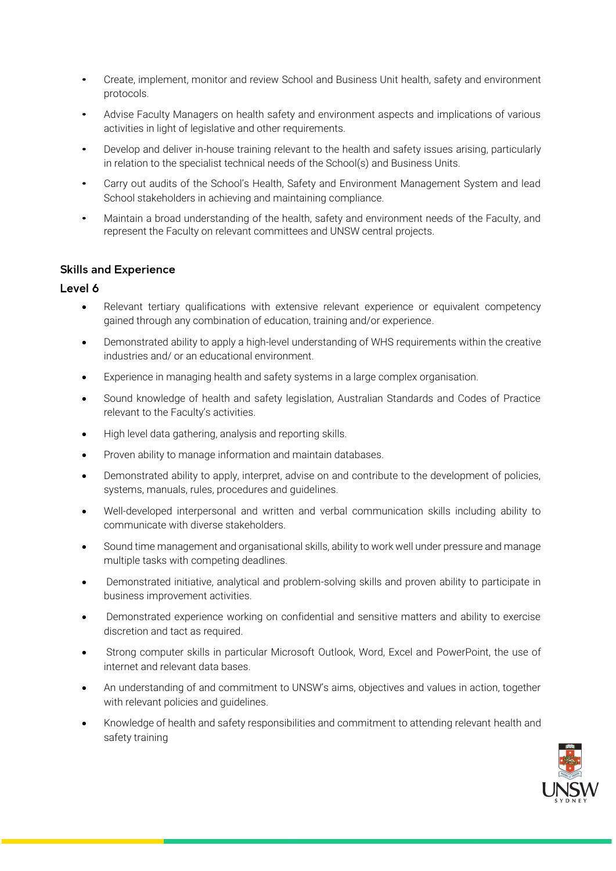- Create, implement, monitor and review School and Business Unit health, safety and environment protocols.
- Advise Faculty Managers on health safety and environment aspects and implications of various activities in light of legislative and other requirements.
- Develop and deliver in-house training relevant to the health and safety issues arising, particularly in relation to the specialist technical needs of the School(s) and Business Units.
- Carry out audits of the School's Health, Safety and Environment Management System and lead School stakeholders in achieving and maintaining compliance.
- Maintain a broad understanding of the health, safety and environment needs of the Faculty, and represent the Faculty on relevant committees and UNSW central projects.

#### **Skills and Experience**

#### Level 6

- Relevant tertiary qualifications with extensive relevant experience or equivalent competency gained through any combination of education, training and/or experience.
- Demonstrated ability to apply a high-level understanding of WHS requirements within the creative industries and/ or an educational environment.
- Experience in managing health and safety systems in a large complex organisation.
- Sound knowledge of health and safety legislation, Australian Standards and Codes of Practice relevant to the Faculty's activities.
- High level data gathering, analysis and reporting skills.
- Proven ability to manage information and maintain databases.
- Demonstrated ability to apply, interpret, advise on and contribute to the development of policies, systems, manuals, rules, procedures and guidelines.
- Well-developed interpersonal and written and verbal communication skills including ability to communicate with diverse stakeholders.
- Sound time management and organisational skills, ability to work well under pressure and manage multiple tasks with competing deadlines.
- Demonstrated initiative, analytical and problem-solving skills and proven ability to participate in business improvement activities.
- Demonstrated experience working on confidential and sensitive matters and ability to exercise discretion and tact as required.
- Strong computer skills in particular Microsoft Outlook, Word, Excel and PowerPoint, the use of internet and relevant data bases.
- An understanding of and commitment to UNSW's aims, objectives and values in action, together with relevant policies and guidelines.
- Knowledge of health and safety responsibilities and commitment to attending relevant health and safety training